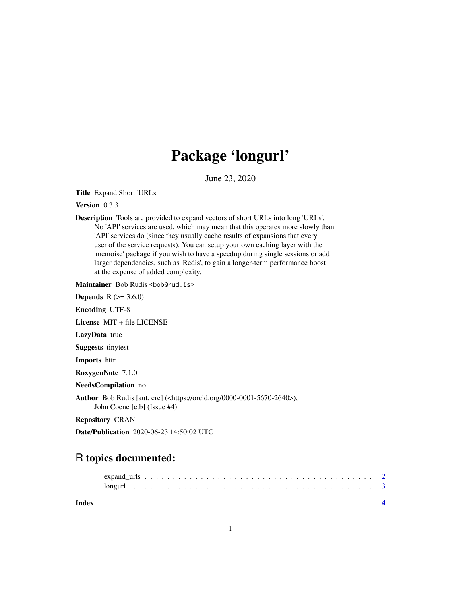## Package 'longurl'

June 23, 2020

Title Expand Short 'URLs'

Version 0.3.3

Description Tools are provided to expand vectors of short URLs into long 'URLs'. No 'API' services are used, which may mean that this operates more slowly than 'API' services do (since they usually cache results of expansions that every user of the service requests). You can setup your own caching layer with the 'memoise' package if you wish to have a speedup during single sessions or add larger dependencies, such as 'Redis', to gain a longer-term performance boost at the expense of added complexity.

Maintainer Bob Rudis <br/>bob@rud.is>

**Depends** R  $(>= 3.6.0)$ 

Encoding UTF-8

License MIT + file LICENSE

LazyData true

Suggests tinytest

Imports httr

RoxygenNote 7.1.0

NeedsCompilation no

Author Bob Rudis [aut, cre] (<https://orcid.org/0000-0001-5670-2640>), John Coene [ctb] (Issue #4)

Repository CRAN

Date/Publication 2020-06-23 14:50:02 UTC

### R topics documented:

**Index** [4](#page-3-0)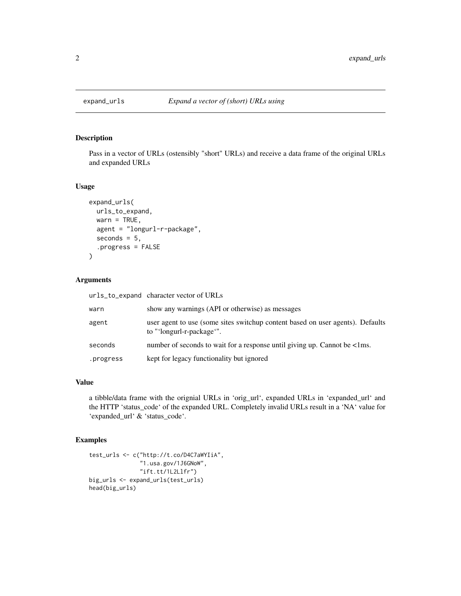<span id="page-1-0"></span>

#### Description

Pass in a vector of URLs (ostensibly "short" URLs) and receive a data frame of the original URLs and expanded URLs

#### Usage

```
expand_urls(
  urls_to_expand,
  wan = TRUE,agent = "longurl-r-package",
  seconds = 5,.progress = FALSE
\mathcal{L}
```
#### Arguments

|           | urls_to_expand character vector of URLs                                                                     |
|-----------|-------------------------------------------------------------------------------------------------------------|
| warn      | show any warnings (API or otherwise) as messages                                                            |
| agent     | user agent to use (some sites switchup content based on user agents). Defaults<br>to "'longurl-r-package'". |
| seconds   | number of seconds to wait for a response until giving up. Cannot be <1ms.                                   |
| .progress | kept for legacy functionality but ignored                                                                   |
|           |                                                                                                             |

#### Value

a tibble/data frame with the orignial URLs in 'orig\_url', expanded URLs in 'expanded\_url' and the HTTP 'status\_code' of the expanded URL. Completely invalid URLs result in a 'NA' value for 'expanded\_url' & 'status\_code'.

#### Examples

```
test_urls <- c("http://t.co/D4C7aWYIiA",
               "1.usa.gov/1J6GNoW",
               "ift.tt/1L2Llfr")
big_urls <- expand_urls(test_urls)
head(big_urls)
```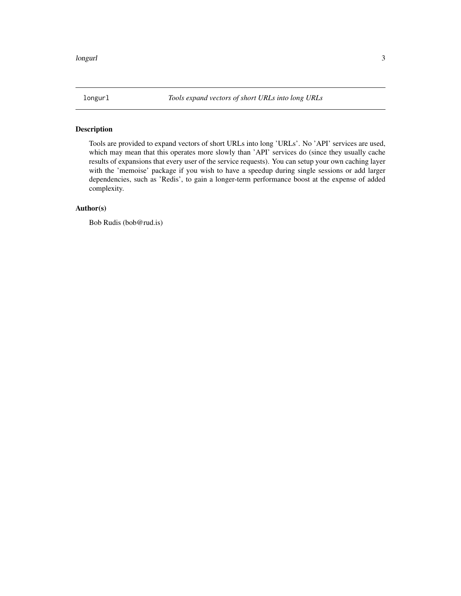<span id="page-2-0"></span>

#### Description

Tools are provided to expand vectors of short URLs into long 'URLs'. No 'API' services are used, which may mean that this operates more slowly than 'API' services do (since they usually cache results of expansions that every user of the service requests). You can setup your own caching layer with the 'memoise' package if you wish to have a speedup during single sessions or add larger dependencies, such as 'Redis', to gain a longer-term performance boost at the expense of added complexity.

#### Author(s)

Bob Rudis (bob@rud.is)